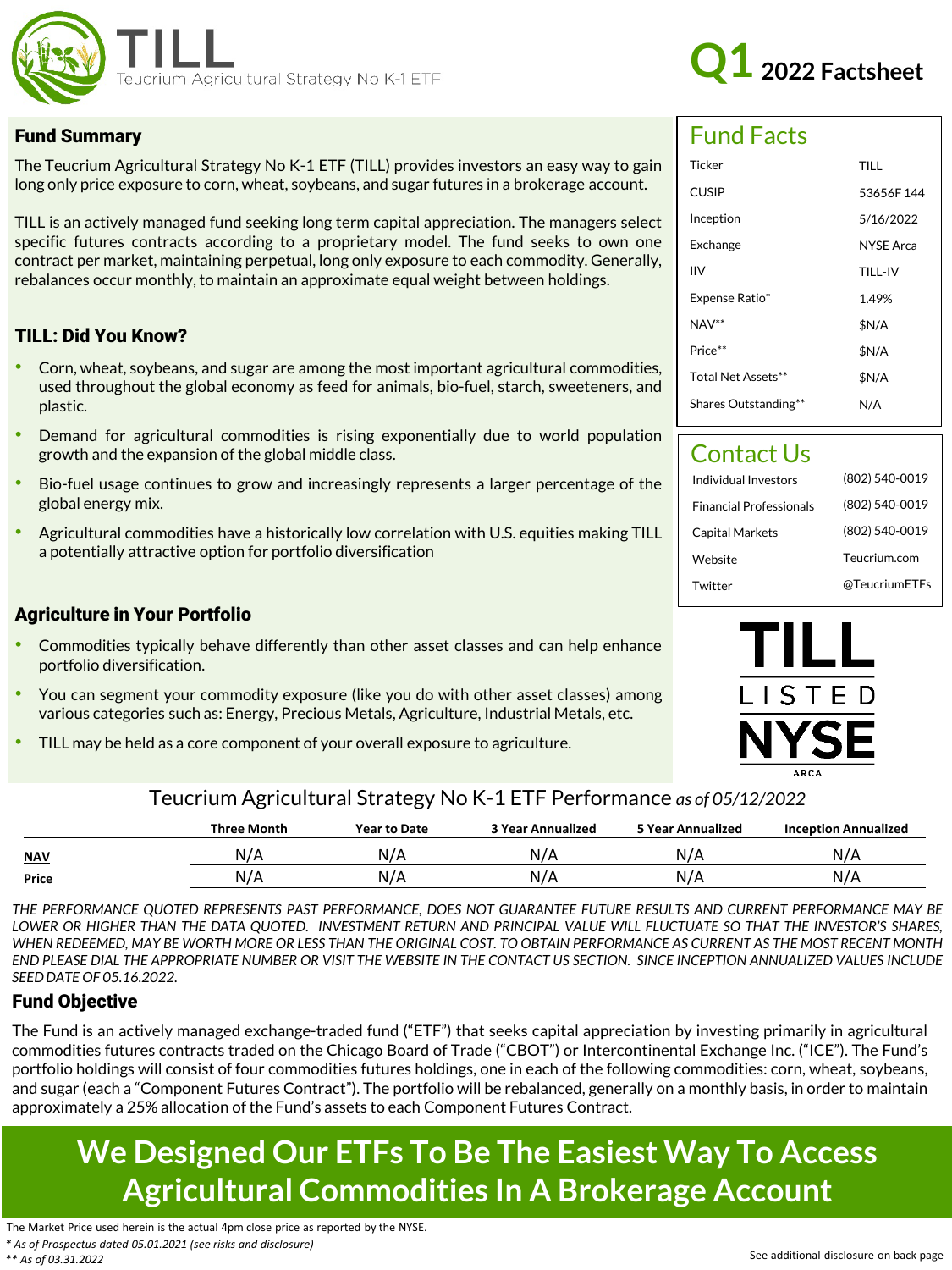



#### Fund Summary

The Teucrium Agricultural Strategy No K-1 ETF (TILL) provides investors an easy way to gain long only price exposure to corn, wheat, soybeans, and sugar futures in a brokerage account.

TILL is an actively managed fund seeking long term capital appreciation. The managers select specific futures contracts according to a proprietary model. The fund seeks to own one contract per market, maintaining perpetual, long only exposure to each commodity. Generally, rebalances occur monthly, to maintain an approximate equal weight between holdings.

#### TILL: Did You Know?

- Corn, wheat, soybeans, and sugar are among the most important agricultural commodities, used throughout the global economy as feed for animals, bio-fuel, starch, sweeteners, and plastic.
- Demand for agricultural commodities is rising exponentially due to world population growth and the expansion of the global middle class.
- Bio-fuel usage continues to grow and increasingly represents a larger percentage of the global energy mix.
- Agricultural commodities have a historically low correlation with U.S. equities making TILL a potentially attractive option for portfolio diversification

#### Agriculture in Your Portfolio

- Commodities typically behave differently than other asset classes and can help enhance portfolio diversification.
- You can segment your commodity exposure (like you do with other asset classes) among various categories such as: Energy, Precious Metals, Agriculture, Industrial Metals, etc.
- TILL may be held as a core component of your overall exposure to agriculture.

# Fund Facts

| Ticker               | TILL             |  |
|----------------------|------------------|--|
| <b>CUSIP</b>         | 53656F144        |  |
| Inception            | 5/16/2022        |  |
| Exchange             | <b>NYSE Arca</b> |  |
| ıιv                  | TILL-IV          |  |
| Expense Ratio*       | 149%             |  |
| $NAV**$              | \$N/A            |  |
| Price**              | \$N/A            |  |
| Total Net Assets**   | \$N/A            |  |
| Shares Outstanding** | N/A              |  |

## Contact Us

| Individual Investors           | (802) 540-0019 |
|--------------------------------|----------------|
| <b>Financial Professionals</b> | (802) 540-0019 |
| <b>Capital Markets</b>         | (802) 540-0019 |
| Website                        | Teucrium.com   |
| Twitter                        | @TeucriumETFs  |



## Teucrium Agricultural Strategy No K-1 ETF Performance *as of 05/12/2022*

|              | <b>Three Month</b> | <b>Year to Date</b> | <b>3 Year Annualized</b> | <b>5 Year Annualized</b> | <b>Inception Annualized</b> |
|--------------|--------------------|---------------------|--------------------------|--------------------------|-----------------------------|
| <b>NAV</b>   | N/A                |                     | N/                       | N                        | N/A                         |
| <b>Price</b> | N/A                |                     | N/                       | $N_L$                    | N/A                         |

THE PERFORMANCE QUOTED REPRESENTS PAST PERFORMANCE, DOES NOT GUARANTEE FUTURE RESULTS AND CURRENT PERFORMANCE MAY BE LOWER OR HIGHER THAN THE DATA OUOTED. INVESTMENT RETURN AND PRINCIPAL VALUE WILL FLUCTUATE SO THAT THE INVESTOR'S SHARES. WHEN REDEEMED, MAY BE WORTH MORE OR LESS THAN THE ORIGINAL COST. TO OBTAIN PERFORMANCE AS CURRENT AS THE MOST RECENT MONTH END PLEASE DIAL THE APPROPRIATE NUMBER OR VISIT THE WEBSITE IN THE CONTACT US SECTION. SINCE INCEPTION ANNUALIZED VALUES INCLUDE *SEEDDATE OF 05.16.2022.*

#### Fund Objective

The Fund is an actively managed exchange-traded fund ("ETF") that seeks capital appreciation by investing primarily in agricultural commodities futures contracts traded on the Chicago Board of Trade ("CBOT") or Intercontinental Exchange Inc. ("ICE"). The Fund's portfolio holdings will consist of four commodities futures holdings, one in each of the following commodities: corn, wheat, soybeans, and sugar (each a "Component Futures Contract"). The portfolio will be rebalanced, generally on a monthly basis, in order to maintain approximately a 25% allocation of the Fund's assets to each Component Futures Contract.

# **We Designed Our ETFs To Be The Easiest Way To Access Agricultural Commodities In A Brokerage Account**

The Market Price used herein is the actual 4pm close price as reported by the NYSE. *\* As of Prospectus dated 05.01.2021 (see risks and disclosure) \*\* As of 03.31.2022*